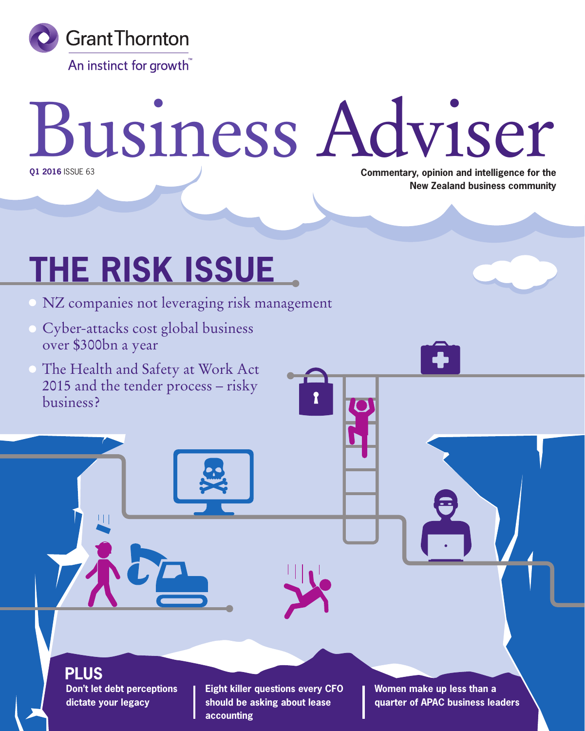

## Business Adviser **Commentary, opinion and intelligence for the Q1 2016** ISSUE 63

**THE RISK ISSUE**

- NZ companies not leveraging risk management
- Cyber-attacks cost global business over \$300bn a year
- The Health and Safety at Work Act 2015 and the tender process – risky business?



**Don't let debt perceptions dictate your legacy PLUS**

**Eight killer questions every CFO should be asking about lease accounting**

**Women make up less than a quarter of APAC business leaders**

**New Zealand business community**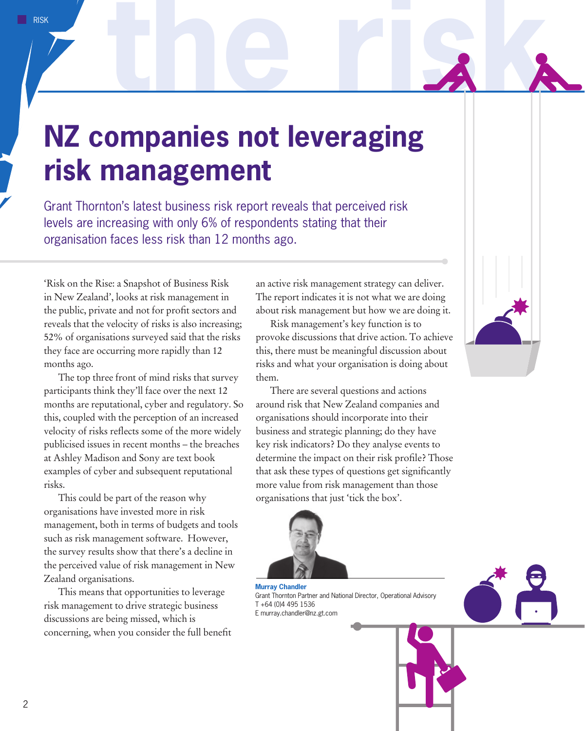## **NZ companies not leveraging risk management**

Grant Thornton's latest business risk report reveals that perceived risk levels are increasing with only 6% of respondents stating that their organisation faces less risk than 12 months ago.

'Risk on the Rise: a Snapshot of Business Risk in New Zealand', looks at risk management in the public, private and not for profit sectors and reveals that the velocity of risks is also increasing; 52% of organisations surveyed said that the risks they face are occurring more rapidly than 12 months ago.

The top three front of mind risks that survey participants think they'll face over the next 12 months are reputational, cyber and regulatory. So this, coupled with the perception of an increased velocity of risks reflects some of the more widely publicised issues in recent months – the breaches at Ashley Madison and Sony are text book examples of cyber and subsequent reputational risks.

This could be part of the reason why organisations have invested more in risk management, both in terms of budgets and tools such as risk management software. However, the survey results show that there's a decline in the perceived value of risk management in New Zealand organisations.

This means that opportunities to leverage risk management to drive strategic business discussions are being missed, which is concerning, when you consider the full benefit an active risk management strategy can deliver. The report indicates it is not what we are doing about risk management but how we are doing it.

Risk management's key function is to provoke discussions that drive action. To achieve this, there must be meaningful discussion about risks and what your organisation is doing about them.

There are several questions and actions around risk that New Zealand companies and organisations should incorporate into their business and strategic planning; do they have key risk indicators? Do they analyse events to determine the impact on their risk profile? Those that ask these types of questions get significantly more value from risk management than those organisations that just 'tick the box'.



**Murray Chandler** Grant Thornton Partner and National Director, Operational Advisory T +64 (0)4 495 1536 E murray.chandler@nz.gt.com



the rigk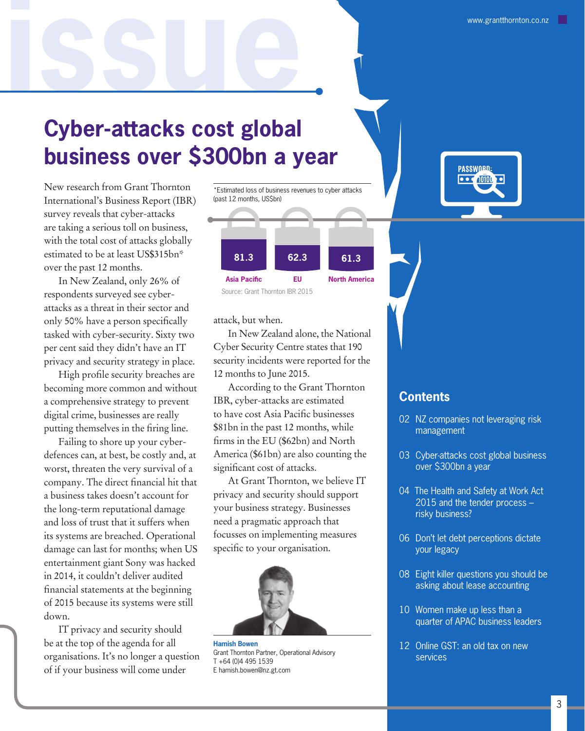### **Cyber-attacks cost global business over \$300bn a year**

New research from Grant Thornton International's Business Report (IBR) survey reveals that cyber-attacks are taking a serious toll on business, with the total cost of attacks globally estimated to be at least US\$315bn\* over the past 12 months.

**the risk issue**

In New Zealand, only 26% of respondents surveyed see cyberattacks as a threat in their sector and only 50% have a person specifically tasked with cyber-security. Sixty two per cent said they didn't have an IT privacy and security strategy in place.

High profile security breaches are becoming more common and without a comprehensive strategy to prevent digital crime, businesses are really putting themselves in the firing line.

Failing to shore up your cyberdefences can, at best, be costly and, at worst, threaten the very survival of a company. The direct financial hit that a business takes doesn't account for the long-term reputational damage and loss of trust that it suffers when its systems are breached. Operational damage can last for months; when US entertainment giant Sony was hacked in 2014, it couldn't deliver audited financial statements at the beginning of 2015 because its systems were still down.

IT privacy and security should be at the top of the agenda for all organisations. It's no longer a question of if your business will come under



attack, but when.

In New Zealand alone, the National Cyber Security Centre states that 190 security incidents were reported for the 12 months to June 2015.

According to the Grant Thornton IBR, cyber-attacks are estimated to have cost Asia Pacific businesses \$81bn in the past 12 months, while firms in the EU (\$62bn) and North America (\$61bn) are also counting the significant cost of attacks.

At Grant Thornton, we believe IT privacy and security should support your business strategy. Businesses need a pragmatic approach that focusses on implementing measures specific to your organisation.



**Hamish Bowen** Grant Thornton Partner, Operational Advisory T +64 (0)4 495 1539 E hamish.bowen@nz.gt.com



#### **Contents**

- 02 NZ companies not leveraging risk management
- 03 Cyber-attacks cost global business over \$300bn a year
- 04 The Health and Safety at Work Act 2015 and the tender process – risky business?
- 06 Don't let debt perceptions dictate your legacy
- 08 Eight killer questions you should be asking about lease accounting
- 10 Women make up less than a quarter of APAC business leaders
- 12 Online GST: an old tax on new services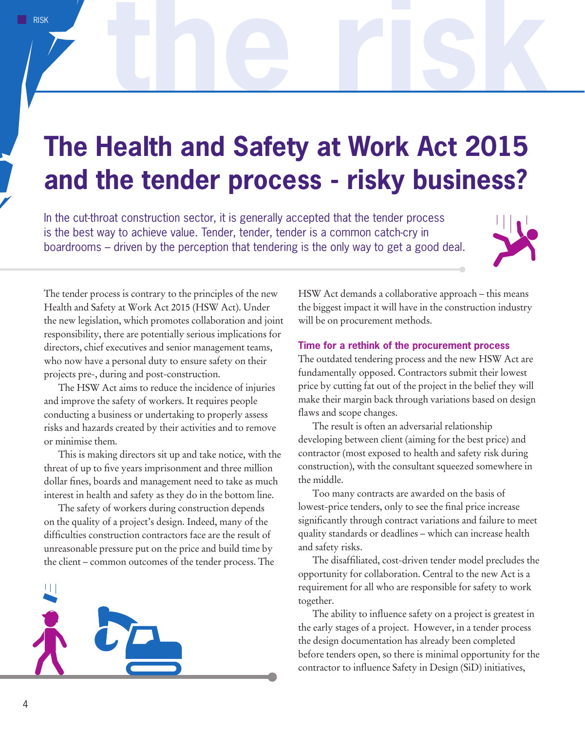## **The Health and Safety at Work Act 2015 and the tender process - risky business?**

In the cut-throat construction sector, it is generally accepted that the tender process is the best way to achieve value. Tender, tender, tender is a common catch-cry in boardrooms – driven by the perception that tendering is the only way to get a good deal.



the risk

The tender process is contrary to the principles of the new Health and Safety at Work Act 2015 (HSW Act). Under the new legislation, which promotes collaboration and joint responsibility, there are potentially serious implications for directors, chief executives and senior management teams, who now have a personal duty to ensure safety on their projects pre-, during and post-construction.

The HSW Act aims to reduce the incidence of injuries and improve the safety of workers. It requires people conducting a business or undertaking to properly assess risks and hazards created by their activities and to remove or minimise them.

This is making directors sit up and take notice, with the threat of up to five years imprisonment and three million dollar fines, boards and management need to take as much interest in health and safety as they do in the bottom line.

The safety of workers during construction depends on the quality of a project's design. Indeed, many of the difficulties construction contractors face are the result of unreasonable pressure put on the price and build time by the client – common outcomes of the tender process. The



HSW Act demands a collaborative approach – this means the biggest impact it will have in the construction industry will be on procurement methods.

#### **Time for a rethink of the procurement process**

The outdated tendering process and the new HSW Act are fundamentally opposed. Contractors submit their lowest price by cutting fat out of the project in the belief they will make their margin back through variations based on design flaws and scope changes.

The result is often an adversarial relationship developing between client (aiming for the best price) and contractor (most exposed to health and safety risk during construction), with the consultant squeezed somewhere in the middle.

Too many contracts are awarded on the basis of lowest-price tenders, only to see the final price increase significantly through contract variations and failure to meet quality standards or deadlines – which can increase health and safety risks.

The disaffiliated, cost-driven tender model precludes the opportunity for collaboration. Central to the new Act is a requirement for all who are responsible for safety to work together.

The ability to influence safety on a project is greatest in the early stages of a project. However, in a tender process the design documentation has already been completed before tenders open, so there is minimal opportunity for the contractor to influence Safety in Design (SiD) initiatives,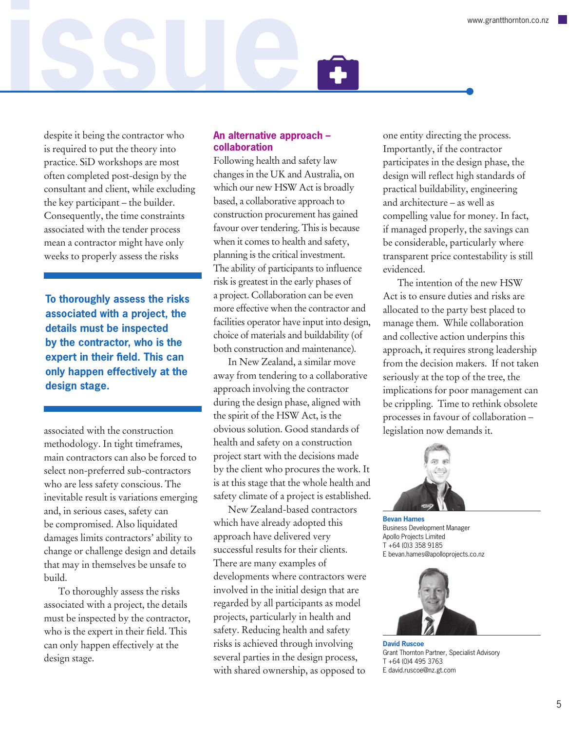**the risk issue** despite it being the contractor who is required to put the theory into practice. SiD workshops are most often completed post-design by the consultant and client, while excluding

the key participant – the builder. Consequently, the time constraints associated with the tender process mean a contractor might have only weeks to properly assess the risks

**To thoroughly assess the risks associated with a project, the details must be inspected by the contractor, who is the expert in their field. This can only happen effectively at the design stage.**

associated with the construction methodology. In tight timeframes, main contractors can also be forced to select non-preferred sub-contractors who are less safety conscious. The inevitable result is variations emerging and, in serious cases, safety can be compromised. Also liquidated damages limits contractors' ability to change or challenge design and details that may in themselves be unsafe to build.

To thoroughly assess the risks associated with a project, the details must be inspected by the contractor, who is the expert in their field. This can only happen effectively at the design stage.

#### **An alternative approach – collaboration**

Following health and safety law changes in the UK and Australia, on which our new HSW Act is broadly based, a collaborative approach to construction procurement has gained favour over tendering. This is because when it comes to health and safety, planning is the critical investment. The ability of participants to influence risk is greatest in the early phases of a project. Collaboration can be even more effective when the contractor and facilities operator have input into design, choice of materials and buildability (of both construction and maintenance).

In New Zealand, a similar move away from tendering to a collaborative approach involving the contractor during the design phase, aligned with the spirit of the HSW Act, is the obvious solution. Good standards of health and safety on a construction project start with the decisions made by the client who procures the work. It is at this stage that the whole health and safety climate of a project is established.

New Zealand-based contractors which have already adopted this approach have delivered very successful results for their clients. There are many examples of developments where contractors were involved in the initial design that are regarded by all participants as model projects, particularly in health and safety. Reducing health and safety risks is achieved through involving several parties in the design process, with shared ownership, as opposed to

one entity directing the process. Importantly, if the contractor participates in the design phase, the design will reflect high standards of practical buildability, engineering and architecture – as well as compelling value for money. In fact, if managed properly, the savings can be considerable, particularly where transparent price contestability is still evidenced.

The intention of the new HSW Act is to ensure duties and risks are allocated to the party best placed to manage them. While collaboration and collective action underpins this approach, it requires strong leadership from the decision makers. If not taken seriously at the top of the tree, the implications for poor management can be crippling. Time to rethink obsolete processes in favour of collaboration – legislation now demands it.



**Bevan Hames** Business Development Manager Apollo Projects Limited T +64 (0)3 358 9185 E bevan.hames@apolloprojects.co.nz



**David Ruscoe** Grant Thornton Partner, Specialist Advisory T +64 (0)4 495 3763 E david.ruscoe@nz.gt.com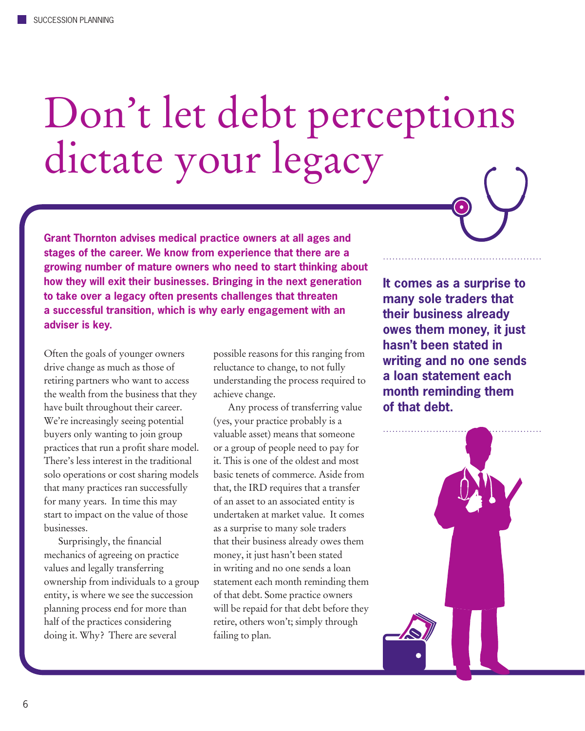# Don't let debt perceptions dictate your legacy



Often the goals of younger owners drive change as much as those of retiring partners who want to access the wealth from the business that they have built throughout their career. We're increasingly seeing potential buyers only wanting to join group practices that run a profit share model. There's less interest in the traditional solo operations or cost sharing models that many practices ran successfully for many years. In time this may start to impact on the value of those businesses.

Surprisingly, the financial mechanics of agreeing on practice values and legally transferring ownership from individuals to a group entity, is where we see the succession planning process end for more than half of the practices considering doing it. Why? There are several

possible reasons for this ranging from reluctance to change, to not fully understanding the process required to achieve change.

Any process of transferring value (yes, your practice probably is a valuable asset) means that someone or a group of people need to pay for it. This is one of the oldest and most basic tenets of commerce. Aside from that, the IRD requires that a transfer of an asset to an associated entity is undertaken at market value. It comes as a surprise to many sole traders that their business already owes them money, it just hasn't been stated in writing and no one sends a loan statement each month reminding them of that debt. Some practice owners will be repaid for that debt before they retire, others won't; simply through failing to plan.

**It comes as a surprise to many sole traders that their business already owes them money, it just hasn't been stated in writing and no one sends a loan statement each month reminding them of that debt.**

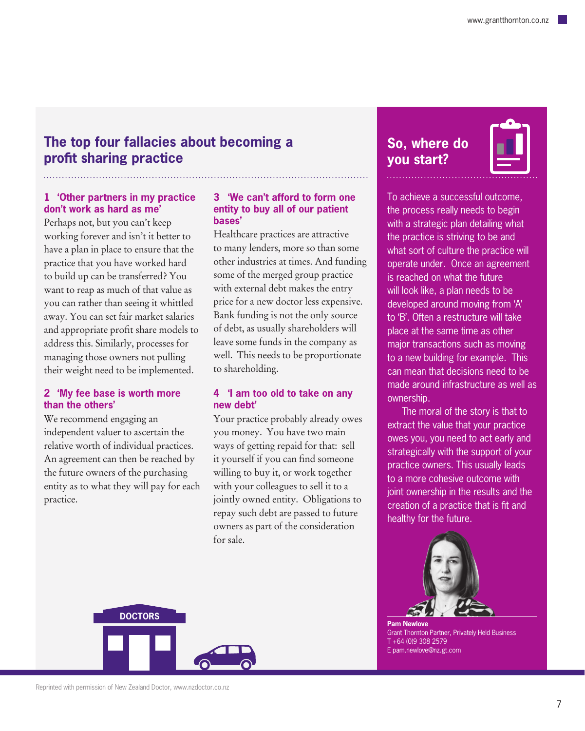#### **The top four fallacies about becoming a profit sharing practice**

#### **1 'Other partners in my practice don't work as hard as me'**

Perhaps not, but you can't keep working forever and isn't it better to have a plan in place to ensure that the practice that you have worked hard to build up can be transferred? You want to reap as much of that value as you can rather than seeing it whittled away. You can set fair market salaries and appropriate profit share models to address this. Similarly, processes for managing those owners not pulling their weight need to be implemented.

#### **2 'My fee base is worth more than the others'**

We recommend engaging an independent valuer to ascertain the relative worth of individual practices. An agreement can then be reached by the future owners of the purchasing entity as to what they will pay for each practice.

#### **3 'We can't afford to form one entity to buy all of our patient bases'**

Healthcare practices are attractive to many lenders, more so than some other industries at times. And funding some of the merged group practice with external debt makes the entry price for a new doctor less expensive. Bank funding is not the only source of debt, as usually shareholders will leave some funds in the company as well. This needs to be proportionate to shareholding.

#### **4 'I am too old to take on any new debt'**

Your practice probably already owes you money. You have two main ways of getting repaid for that: sell it yourself if you can find someone willing to buy it, or work together with your colleagues to sell it to a jointly owned entity. Obligations to repay such debt are passed to future owners as part of the consideration for sale.

### **So, where do you start?**

To achieve a successful outcome, the process really needs to begin with a strategic plan detailing what the practice is striving to be and what sort of culture the practice will operate under. Once an agreement is reached on what the future will look like, a plan needs to be developed around moving from 'A' to 'B'. Often a restructure will take place at the same time as other major transactions such as moving to a new building for example. This can mean that decisions need to be made around infrastructure as well as ownership.

The moral of the story is that to extract the value that your practice owes you, you need to act early and strategically with the support of your practice owners. This usually leads to a more cohesive outcome with joint ownership in the results and the creation of a practice that is fit and healthy for the future.



**Pam Newlove** Grant Thornton Partner, Privately Held Business T +64 (0)9 308 2579 E pam.newlove@nz.gt.com

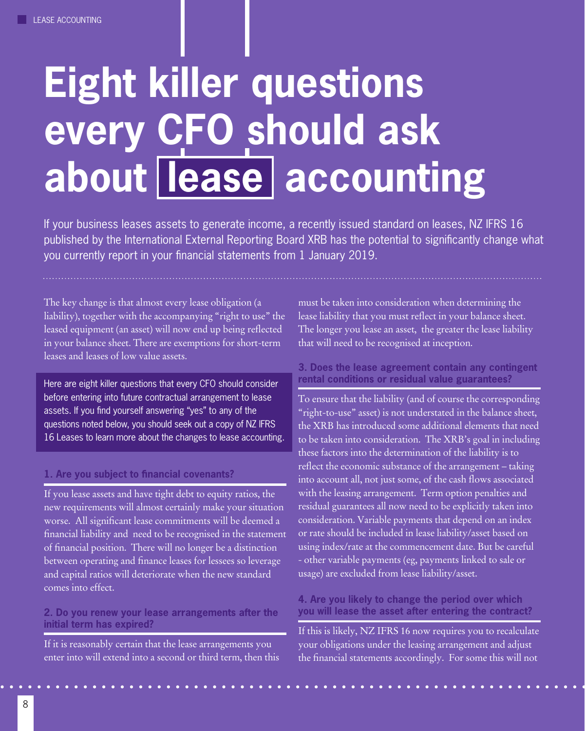## **Eight killer questions every CFO should ask about lease accounting**

If your business leases assets to generate income, a recently issued standard on leases, NZ IFRS 16 published by the International External Reporting Board XRB has the potential to significantly change what you currently report in your financial statements from 1 January 2019.

The key change is that almost every lease obligation (a liability), together with the accompanying "right to use" the leased equipment (an asset) will now end up being reflected in your balance sheet. There are exemptions for short-term leases and leases of low value assets.

Here are eight killer questions that every CFO should consider before entering into future contractual arrangement to lease assets. If you find yourself answering "yes" to any of the questions noted below, you should seek out a copy of NZ IFRS 16 Leases to learn more about the changes to lease accounting.

#### **1. Are you subject to financial covenants?**

If you lease assets and have tight debt to equity ratios, the new requirements will almost certainly make your situation worse. All significant lease commitments will be deemed a financial liability and need to be recognised in the statement of financial position. There will no longer be a distinction between operating and finance leases for lessees so leverage and capital ratios will deteriorate when the new standard comes into effect.

#### **2. Do you renew your lease arrangements after the initial term has expired?**

If it is reasonably certain that the lease arrangements you enter into will extend into a second or third term, then this must be taken into consideration when determining the lease liability that you must reflect in your balance sheet. The longer you lease an asset, the greater the lease liability that will need to be recognised at inception.

#### **3. Does the lease agreement contain any contingent rental conditions or residual value guarantees?**

To ensure that the liability (and of course the corresponding "right-to-use" asset) is not understated in the balance sheet, the XRB has introduced some additional elements that need to be taken into consideration. The XRB's goal in including these factors into the determination of the liability is to reflect the economic substance of the arrangement – taking into account all, not just some, of the cash flows associated with the leasing arrangement. Term option penalties and residual guarantees all now need to be explicitly taken into consideration. Variable payments that depend on an index or rate should be included in lease liability/asset based on using index/rate at the commencement date. But be careful - other variable payments (eg, payments linked to sale or usage) are excluded from lease liability/asset.

#### **4. Are you likely to change the period over which you will lease the asset after entering the contract?**

If this is likely, NZ IFRS 16 now requires you to recalculate your obligations under the leasing arrangement and adjust the financial statements accordingly. For some this will not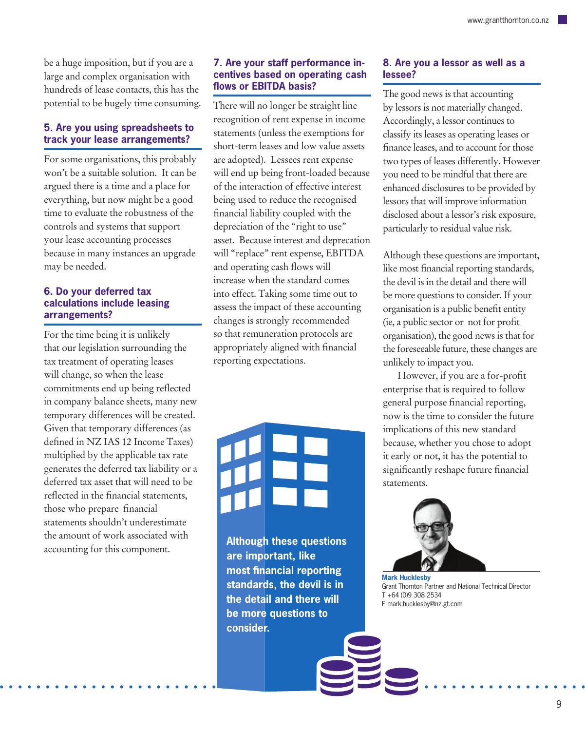be a huge imposition, but if you are a large and complex organisation with hundreds of lease contacts, this has the potential to be hugely time consuming.

#### **5. Are you using spreadsheets to track your lease arrangements?**

For some organisations, this probably won't be a suitable solution. It can be argued there is a time and a place for everything, but now might be a good time to evaluate the robustness of the controls and systems that support your lease accounting processes because in many instances an upgrade may be needed.

#### **6. Do your deferred tax calculations include leasing arrangements?**

For the time being it is unlikely that our legislation surrounding the tax treatment of operating leases will change, so when the lease commitments end up being reflected in company balance sheets, many new temporary differences will be created. Given that temporary differences (as defined in NZ IAS 12 Income Taxes) multiplied by the applicable tax rate generates the deferred tax liability or a deferred tax asset that will need to be reflected in the financial statements, those who prepare financial statements shouldn't underestimate the amount of work associated with accounting for this component.

#### **7. Are your staff performance incentives based on operating cash flows or EBITDA basis?**

There will no longer be straight line recognition of rent expense in income statements (unless the exemptions for short-term leases and low value assets are adopted). Lessees rent expense will end up being front-loaded because of the interaction of effective interest being used to reduce the recognised financial liability coupled with the depreciation of the "right to use" asset. Because interest and deprecation will "replace" rent expense, EBITDA and operating cash flows will increase when the standard comes into effect. Taking some time out to assess the impact of these accounting changes is strongly recommended so that remuneration protocols are appropriately aligned with financial reporting expectations.

**Although these questions are important, like most financial reporting standards, the devil is in the detail and there will be more questions to consider.**

#### **8. Are you a lessor as well as a lessee?**

The good news is that accounting by lessors is not materially changed. Accordingly, a lessor continues to classify its leases as operating leases or finance leases, and to account for those two types of leases differently. However you need to be mindful that there are enhanced disclosures to be provided by lessors that will improve information disclosed about a lessor's risk exposure, particularly to residual value risk.

Although these questions are important, like most financial reporting standards, the devil is in the detail and there will be more questions to consider. If your organisation is a public benefit entity (ie, a public sector or not for profit organisation), the good news is that for the foreseeable future, these changes are unlikely to impact you.

However, if you are a for-profit enterprise that is required to follow general purpose financial reporting, now is the time to consider the future implications of this new standard because, whether you chose to adopt it early or not, it has the potential to significantly reshape future financial statements.



**Mark Hucklesby** Grant Thornton Partner and National Technical Director T +64 (0)9 308 2534 E mark.hucklesby@nz.gt.com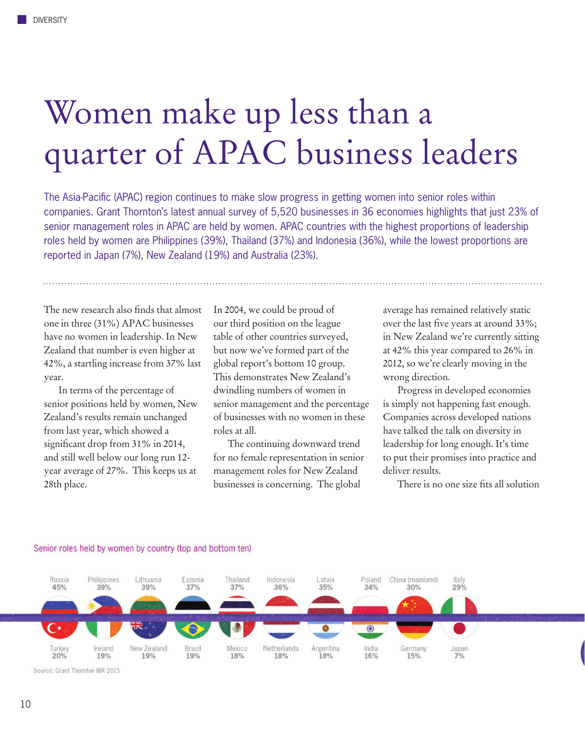## Women make up less than a quarter of APAC business leaders

The Asia-Pacific (APAC) region continues to make slow progress in getting women into senior roles within companies. Grant Thornton's latest annual survey of 5,520 businesses in 36 economies highlights that just 23% of senior management roles in APAC are held by women. APAC countries with the highest proportions of leadership roles held by women are Philippines (39%), Thailand (37%) and Indonesia (36%), while the lowest proportions are reported in Japan (7%), New Zealand (19%) and Australia (23%).

The new research also finds that almost one in three (31%) APAC businesses have no women in leadership. In New Zealand that number is even higher at 42%, a startling increase from 37% last year.

In terms of the percentage of senior positions held by women, New Zealand's results remain unchanged from last year, which showed a significant drop from 31% in 2014, and still well below our long run 12 year average of 27%. This keeps us at 28th place.

In 2004, we could be proud of our third position on the league table of other countries surveyed, but now we've formed part of the global report's bottom 10 group. This demonstrates New Zealand's dwindling numbers of women in senior management and the percentage of businesses with no women in these roles at all.

The continuing downward trend for no female representation in senior management roles for New Zealand businesses is concerning. The global

average has remained relatively static over the last five years at around 33%; in New Zealand we're currently sitting at 42% this year compared to 26% in 2012, so we're clearly moving in the wrong direction.

Progress in developed economies is simply not happening fast enough. Companies across developed nations have talked the talk on diversity in leadership for long enough. It's time to put their promises into practice and deliver results.

There is no one size fits all solution



#### Senior roles held by women by country (top and bottom ten)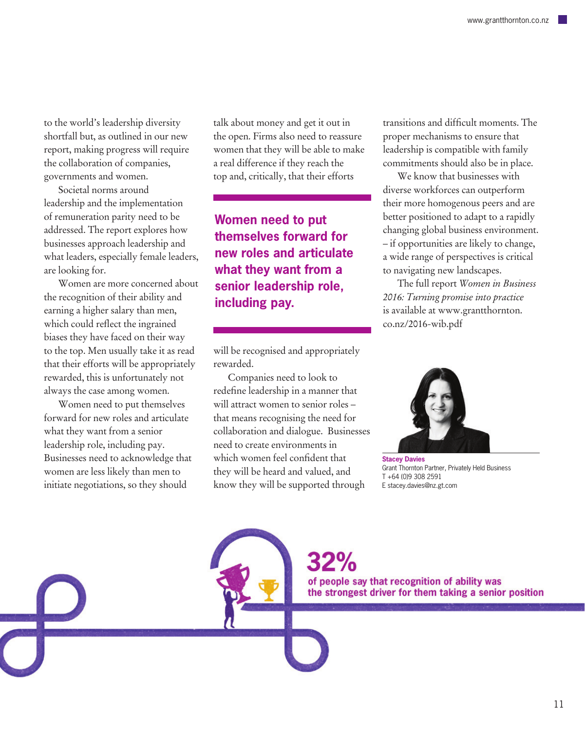to the world's leadership diversity shortfall but, as outlined in our new report, making progress will require the collaboration of companies, governments and women.

Societal norms around leadership and the implementation of remuneration parity need to be addressed. The report explores how businesses approach leadership and what leaders, especially female leaders, are looking for.

Women are more concerned about the recognition of their ability and earning a higher salary than men, which could reflect the ingrained biases they have faced on their way to the top. Men usually take it as read that their efforts will be appropriately rewarded, this is unfortunately not always the case among women.

Women need to put themselves forward for new roles and articulate what they want from a senior leadership role, including pay. Businesses need to acknowledge that women are less likely than men to initiate negotiations, so they should

talk about money and get it out in the open. Firms also need to reassure women that they will be able to make a real difference if they reach the top and, critically, that their efforts

**Women need to put themselves forward for new roles and articulate what they want from a senior leadership role, including pay.** 

will be recognised and appropriately rewarded.

Companies need to look to redefine leadership in a manner that will attract women to senior roles – that means recognising the need for collaboration and dialogue. Businesses need to create environments in which women feel confident that they will be heard and valued, and know they will be supported through

transitions and difficult moments. The proper mechanisms to ensure that leadership is compatible with family commitments should also be in place.

We know that businesses with diverse workforces can outperform their more homogenous peers and are better positioned to adapt to a rapidly changing global business environment. – if opportunities are likely to change, a wide range of perspectives is critical to navigating new landscapes.

The full report *Women in Business 2016: Turning promise into practice* is available at www.grantthornton. co.nz/2016-wib.pdf



**Stacey Davies** Grant Thornton Partner, Privately Held Business T +64 (0)9 308 2591 E stacey.davies@nz.gt.com

of people say that recognition of ability was the strongest driver for them taking a senior position